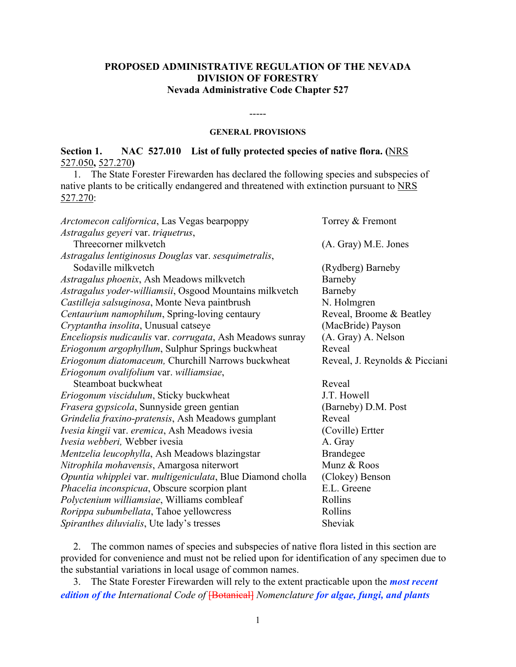# **PROPOSED ADMINISTRATIVE REGULATION OF THE NEVADA DIVISION OF FORESTRY Nevada Administrative Code Chapter 527**

#### -----

#### **GENERAL PROVISIONS**

# **Section 1. NAC 527.010 List of fully protected species of native flora. (**NRS 527.050**,** 527.270**)**

 1. The State Forester Firewarden has declared the following species and subspecies of native plants to be critically endangered and threatened with extinction pursuant to NRS 527.270:

| <i>Arctomecon californica</i> , Las Vegas bearpoppy        | Torrey & Fremont               |
|------------------------------------------------------------|--------------------------------|
| Astragalus geyeri var. triquetrus,                         |                                |
| Threecorner milkvetch                                      | (A. Gray) M.E. Jones           |
| Astragalus lentiginosus Douglas var. sesquimetralis,       |                                |
| Sodaville milkvetch                                        | (Rydberg) Barneby              |
| Astragalus phoenix, Ash Meadows milkvetch                  | Barneby                        |
| Astragalus yoder-williamsii, Osgood Mountains milkvetch    | Barneby                        |
| Castilleja salsuginosa, Monte Neva paintbrush              | N. Holmgren                    |
| Centaurium namophilum, Spring-loving centaury              | Reveal, Broome & Beatley       |
| Cryptantha insolita, Unusual catseye                       | (MacBride) Payson              |
| Enceliopsis nudicaulis var. corrugata, Ash Meadows sunray  | (A. Gray) A. Nelson            |
| Eriogonum argophyllum, Sulphur Springs buckwheat           | Reveal                         |
| Eriogonum diatomaceum, Churchill Narrows buckwheat         | Reveal, J. Reynolds & Picciani |
| Eriogonum ovalifolium var. williamsiae,                    |                                |
| Steamboat buckwheat                                        | Reveal                         |
| Eriogonum viscidulum, Sticky buckwheat                     | J.T. Howell                    |
| Frasera gypsicola, Sunnyside green gentian                 | (Barneby) D.M. Post            |
| Grindelia fraxino-pratensis, Ash Meadows gumplant          | Reveal                         |
| Ivesia kingii var. eremica, Ash Meadows ivesia             | (Coville) Ertter               |
| Ivesia webberi, Webber ivesia                              | A. Gray                        |
| Mentzelia leucophylla, Ash Meadows blazingstar             | <b>Brandegee</b>               |
| Nitrophila mohavensis, Amargosa niterwort                  | Munz & Roos                    |
| Opuntia whipplei var. multigeniculata, Blue Diamond cholla | (Clokey) Benson                |
| Phacelia inconspicua, Obscure scorpion plant               | E.L. Greene                    |
| Polyctenium williamsiae, Williams combleaf                 | Rollins                        |
| Rorippa subumbellata, Tahoe yellowcress                    | Rollins                        |
| Spiranthes diluvialis, Ute lady's tresses                  | Sheviak                        |

 2. The common names of species and subspecies of native flora listed in this section are provided for convenience and must not be relied upon for identification of any specimen due to the substantial variations in local usage of common names.

 3. The State Forester Firewarden will rely to the extent practicable upon the *most recent edition of the International Code of* [Botanical] *Nomenclature for algae, fungi, and plants*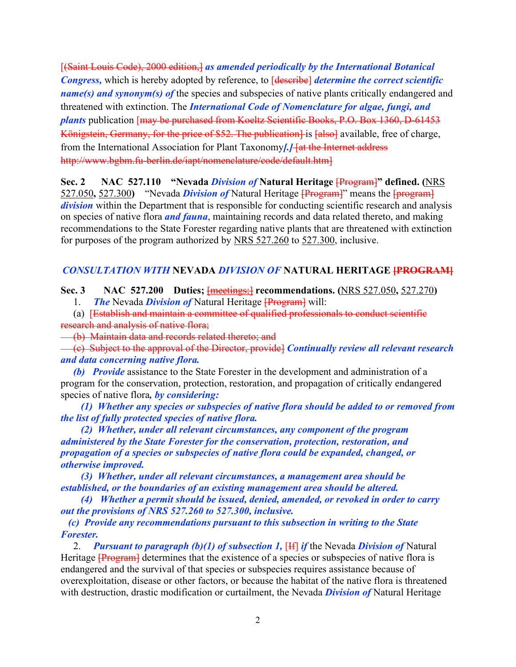[(Saint Louis Code), 2000 edition,] as amended periodically by the International Botanical *Congress,* which is hereby adopted by reference, to [describe] *determine the correct scientific name(s) and synonym(s) of* the species and subspecies of native plants critically endangered and threatened with extinction. The *International Code of Nomenclature for algae, fungi, and plants* publication [may be purchased from Koeltz Scientific Books, P.O. Box 1360, D-61453 Königstein, Germany, for the price of \$52. The publication<sup>1</sup> is [also] available, free of charge, from the International Association for Plant Taxonomy*[.]* [at the Internet address http://www.bgbm.fu-berlin.de/iapt/nomenclature/code/default.htm]

**Sec. 2 NAC 527.110 "Nevada** *Division of* **Natural Heritage** [Program]**" defined. (**NRS 527.050**,** 527.300**)** "Nevada *Division of* Natural Heritage [Program]" means the [program] *division* within the Department that is responsible for conducting scientific research and analysis on species of native flora *and fauna*, maintaining records and data related thereto, and making recommendations to the State Forester regarding native plants that are threatened with extinction for purposes of the program authorized by NRS 527.260 to 527.300, inclusive.

## *CONSULTATION WITH* **NEVADA** *DIVISION OF* **NATURAL HERITAGE [PROGRAM]**

**Sec. 3 NAC 527.200 Duties;** [meetings;] **recommendations. (**NRS 527.050**,** 527.270**)** 1. *The* Nevada *Division of* Natural Heritage [Program] will:

 (a) [Establish and maintain a committee of qualified professionals to conduct scientific research and analysis of native flora;

(b) Maintain data and records related thereto; and

 (c) Subject to the approval of the Director, provide] *Continually review all relevant research and data concerning native flora.*

 *(b) Provide* assistance to the State Forester in the development and administration of a program for the conservation, protection, restoration, and propagation of critically endangered species of native flora*, by considering:*

 *(1) Whether any species or subspecies of native flora should be added to or removed from the list of fully protected species of native flora.*

 *(2) Whether, under all relevant circumstances, any component of the program administered by the State Forester for the conservation, protection, restoration, and propagation of a species or subspecies of native flora could be expanded, changed, or otherwise improved.*

 *(3) Whether, under all relevant circumstances, a management area should be established, or the boundaries of an existing management area should be altered.*

 *(4) Whether a permit should be issued, denied, amended, or revoked in order to carry out the provisions of NRS 527.260 to 527.300, inclusive.*

 *(c) Provide any recommendations pursuant to this subsection in writing to the State Forester.*

 2. *Pursuant to paragraph (b)(1) of subsection 1,* [If] *if* the Nevada *Division of* Natural Heritage **[Program]** determines that the existence of a species or subspecies of native flora is endangered and the survival of that species or subspecies requires assistance because of overexploitation, disease or other factors, or because the habitat of the native flora is threatened with destruction, drastic modification or curtailment, the Nevada *Division of* Natural Heritage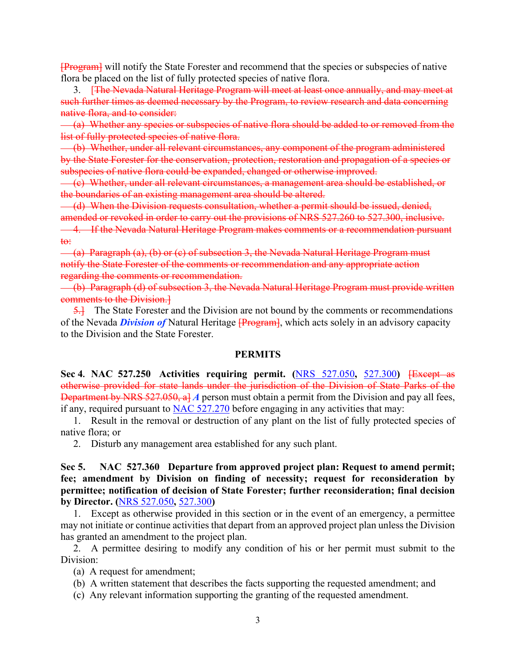[Program] will notify the State Forester and recommend that the species or subspecies of native flora be placed on the list of fully protected species of native flora.

 3. [The Nevada Natural Heritage Program will meet at least once annually, and may meet at such further times as deemed necessary by the Program, to review research and data concerning native flora, and to consider:

 (a) Whether any species or subspecies of native flora should be added to or removed from the list of fully protected species of native flora.

 (b) Whether, under all relevant circumstances, any component of the program administered by the State Forester for the conservation, protection, restoration and propagation of a species or subspecies of native flora could be expanded, changed or otherwise improved.

 (c) Whether, under all relevant circumstances, a management area should be established, or the boundaries of an existing management area should be altered.

(d) When the Division requests consultation, whether a permit should be issued, denied, amended or revoked in order to carry out the provisions of NRS 527.260 to 527.300, inclusive. 4. If the Nevada Natural Heritage Program makes comments or a recommendation pursuant to:

 (a) Paragraph (a), (b) or (c) of subsection 3, the Nevada Natural Heritage Program must notify the State Forester of the comments or recommendation and any appropriate action regarding the comments or recommendation.

 (b) Paragraph (d) of subsection 3, the Nevada Natural Heritage Program must provide written comments to the Division.]

 5.] The State Forester and the Division are not bound by the comments or recommendations of the Nevada *Division of* Natural Heritage [Program], which acts solely in an advisory capacity to the Division and the State Forester.

### **PERMITS**

**Sec 4. NAC 527.250 Activities requiring permit. (**NRS 527.050**,** 527.300**)** [Except as otherwise provided for state lands under the jurisdiction of the Division of State Parks of the Department by NRS 527.050, a] *A* person must obtain a permit from the Division and pay all fees, if any, required pursuant to NAC 527.270 before engaging in any activities that may:

 1. Result in the removal or destruction of any plant on the list of fully protected species of native flora; or

2. Disturb any management area established for any such plant.

**Sec 5. NAC 527.360 Departure from approved project plan: Request to amend permit; fee; amendment by Division on finding of necessity; request for reconsideration by permittee; notification of decision of State Forester; further reconsideration; final decision by Director. (**NRS 527.050**,** 527.300**)**

 1. Except as otherwise provided in this section or in the event of an emergency, a permittee may not initiate or continue activities that depart from an approved project plan unless the Division has granted an amendment to the project plan.

 2. A permittee desiring to modify any condition of his or her permit must submit to the Division:

(a) A request for amendment;

- (b) A written statement that describes the facts supporting the requested amendment; and
- (c) Any relevant information supporting the granting of the requested amendment.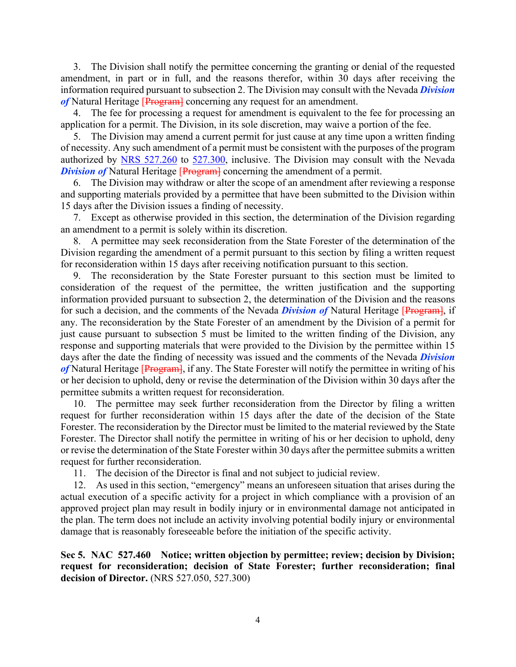3. The Division shall notify the permittee concerning the granting or denial of the requested amendment, in part or in full, and the reasons therefor, within 30 days after receiving the information required pursuant to subsection 2. The Division may consult with the Nevada *Division*  of Natural Heritage [Program] concerning any request for an amendment.

 4. The fee for processing a request for amendment is equivalent to the fee for processing an application for a permit. The Division, in its sole discretion, may waive a portion of the fee.

 5. The Division may amend a current permit for just cause at any time upon a written finding of necessity. Any such amendment of a permit must be consistent with the purposes of the program authorized by NRS 527.260 to 527.300, inclusive. The Division may consult with the Nevada *Division of* Natural Heritage [Program] concerning the amendment of a permit.

 6. The Division may withdraw or alter the scope of an amendment after reviewing a response and supporting materials provided by a permittee that have been submitted to the Division within 15 days after the Division issues a finding of necessity.

 7. Except as otherwise provided in this section, the determination of the Division regarding an amendment to a permit is solely within its discretion.

 8. A permittee may seek reconsideration from the State Forester of the determination of the Division regarding the amendment of a permit pursuant to this section by filing a written request for reconsideration within 15 days after receiving notification pursuant to this section.

 9. The reconsideration by the State Forester pursuant to this section must be limited to consideration of the request of the permittee, the written justification and the supporting information provided pursuant to subsection 2, the determination of the Division and the reasons for such a decision, and the comments of the Nevada *Division of* Natural Heritage [Program], if any. The reconsideration by the State Forester of an amendment by the Division of a permit for just cause pursuant to subsection 5 must be limited to the written finding of the Division, any response and supporting materials that were provided to the Division by the permittee within 15 days after the date the finding of necessity was issued and the comments of the Nevada *Division*  of Natural Heritage [Program], if any. The State Forester will notify the permittee in writing of his or her decision to uphold, deny or revise the determination of the Division within 30 days after the permittee submits a written request for reconsideration.

 10. The permittee may seek further reconsideration from the Director by filing a written request for further reconsideration within 15 days after the date of the decision of the State Forester. The reconsideration by the Director must be limited to the material reviewed by the State Forester. The Director shall notify the permittee in writing of his or her decision to uphold, deny or revise the determination of the State Forester within 30 days after the permittee submits a written request for further reconsideration.

11. The decision of the Director is final and not subject to judicial review.

 12. As used in this section, "emergency" means an unforeseen situation that arises during the actual execution of a specific activity for a project in which compliance with a provision of an approved project plan may result in bodily injury or in environmental damage not anticipated in the plan. The term does not include an activity involving potential bodily injury or environmental damage that is reasonably foreseeable before the initiation of the specific activity.

**Sec 5. NAC 527.460 Notice; written objection by permittee; review; decision by Division; request for reconsideration; decision of State Forester; further reconsideration; final decision of Director.** (NRS 527.050, 527.300)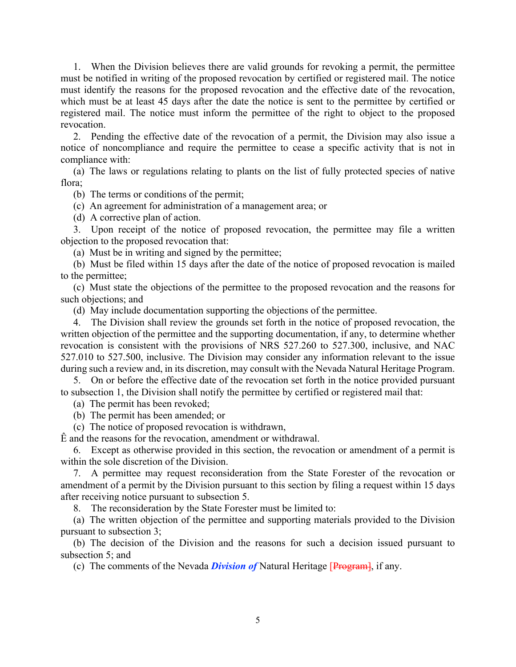1. When the Division believes there are valid grounds for revoking a permit, the permittee must be notified in writing of the proposed revocation by certified or registered mail. The notice must identify the reasons for the proposed revocation and the effective date of the revocation, which must be at least 45 days after the date the notice is sent to the permittee by certified or registered mail. The notice must inform the permittee of the right to object to the proposed revocation.

 2. Pending the effective date of the revocation of a permit, the Division may also issue a notice of noncompliance and require the permittee to cease a specific activity that is not in compliance with:

 (a) The laws or regulations relating to plants on the list of fully protected species of native flora;

(b) The terms or conditions of the permit;

(c) An agreement for administration of a management area; or

(d) A corrective plan of action.

 3. Upon receipt of the notice of proposed revocation, the permittee may file a written objection to the proposed revocation that:

(a) Must be in writing and signed by the permittee;

 (b) Must be filed within 15 days after the date of the notice of proposed revocation is mailed to the permittee;

 (c) Must state the objections of the permittee to the proposed revocation and the reasons for such objections; and

(d) May include documentation supporting the objections of the permittee.

 4. The Division shall review the grounds set forth in the notice of proposed revocation, the written objection of the permittee and the supporting documentation, if any, to determine whether revocation is consistent with the provisions of NRS 527.260 to 527.300, inclusive, and NAC 527.010 to 527.500, inclusive. The Division may consider any information relevant to the issue during such a review and, in its discretion, may consult with the Nevada Natural Heritage Program.

 5. On or before the effective date of the revocation set forth in the notice provided pursuant to subsection 1, the Division shall notify the permittee by certified or registered mail that:

(a) The permit has been revoked;

(b) The permit has been amended; or

(c) The notice of proposed revocation is withdrawn,

Ê and the reasons for the revocation, amendment or withdrawal.

 6. Except as otherwise provided in this section, the revocation or amendment of a permit is within the sole discretion of the Division.

 7. A permittee may request reconsideration from the State Forester of the revocation or amendment of a permit by the Division pursuant to this section by filing a request within 15 days after receiving notice pursuant to subsection 5.

8. The reconsideration by the State Forester must be limited to:

 (a) The written objection of the permittee and supporting materials provided to the Division pursuant to subsection 3;

 (b) The decision of the Division and the reasons for such a decision issued pursuant to subsection 5; and

(c) The comments of the Nevada *Division of* Natural Heritage [Program], if any.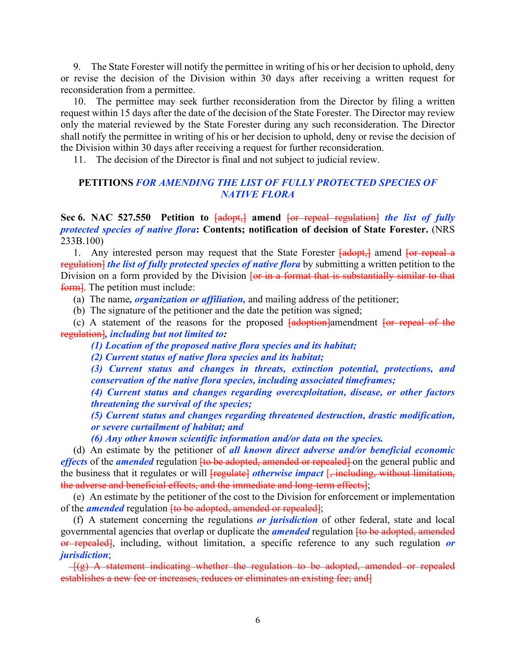9. The State Forester will notify the permittee in writing of his or her decision to uphold, deny or revise the decision of the Division within 30 days after receiving a written request for reconsideration from a permittee.

 10. The permittee may seek further reconsideration from the Director by filing a written request within 15 days after the date of the decision of the State Forester. The Director may review only the material reviewed by the State Forester during any such reconsideration. The Director shall notify the permittee in writing of his or her decision to uphold, deny or revise the decision of the Division within 30 days after receiving a request for further reconsideration.

11. The decision of the Director is final and not subject to judicial review.

## **PETITIONS** *FOR AMENDING THE LIST OF FULLY PROTECTED SPECIES OF NATIVE FLORA*

**Sec 6. NAC 527.550 Petition to** [adopt,] **amend** [or repeal regulation] *the list of fully protected species of native flora***: Contents; notification of decision of State Forester.** (NRS 233B.100)

1. Any interested person may request that the State Forester  $\frac{1 \text{adopt}}{1 \text{adopt}}$  amend  $\frac{1 \text{or repeat}}{1 \text{adopt}}$ regulation] *the list of fully protected species of native flora* by submitting a written petition to the Division on a form provided by the Division [or in a format that is substantially similar to that form. The petition must include:

(a) The name*, organization or affiliation,* and mailing address of the petitioner;

(b) The signature of the petitioner and the date the petition was signed;

(c) A statement of the reasons for the proposed  $\frac{1}{\text{adoption}}$  amendment  $\frac{1}{\text{or repeat of the}}$ regulation]*, including but not limited to:*

*(1) Location of the proposed native flora species and its habitat;*

*(2) Current status of native flora species and its habitat;*

*(3) Current status and changes in threats, extinction potential, protections, and conservation of the native flora species, including associated timeframes;*

*(4) Current status and changes regarding overexploitation, disease, or other factors threatening the survival of the species;*

*(5) Current status and changes regarding threatened destruction, drastic modification, or severe curtailment of habitat; and*

*(6) Any other known scientific information and/or data on the species.*

 (d) An estimate by the petitioner of *all known direct adverse and/or beneficial economic effects* of the *amended* regulation <del>[to be adopted, amended or repealed]</del> on the general public and the business that it regulates or will [regulate] *otherwise impact* [, including, without limitation, the adverse and beneficial effects, and the immediate and long-term effects];

 (e) An estimate by the petitioner of the cost to the Division for enforcement or implementation of the *amended* regulation <del>[to be adopted, amended or repealed]</del>;

 (f) A statement concerning the regulations *or jurisdiction* of other federal, state and local governmental agencies that overlap or duplicate the *amended* regulation [to be adopted, amended or repealed], including, without limitation, a specific reference to any such regulation *or jurisdiction*;

 $-f(g)$  A statement indicating whether the regulation to be adopted, amended or repealed establishes a new fee or increases, reduces or eliminates an existing fee; and]